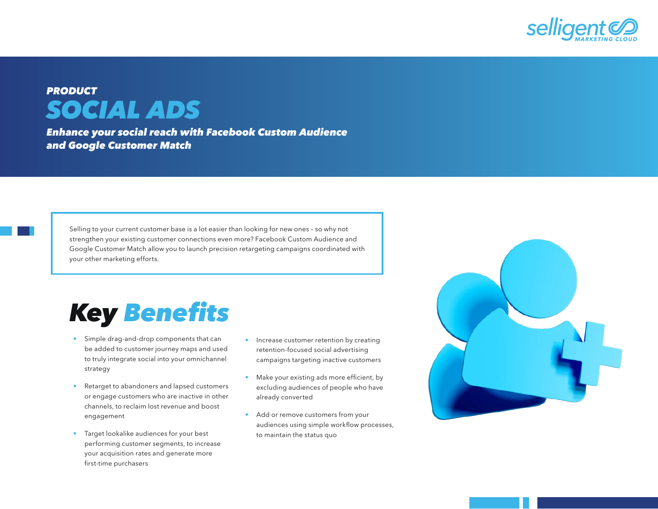

## *PRODUCT SOCIAL ADS*

*Enhance your social reach with Facebook Custom Audience and Google Customer Match* 

Selling to your current customer base is a lot easier than looking for new ones – so why not strengthen your existing customer connections even more? Facebook Custom Audience and Google Customer Match allow you to launch precision retargeting campaigns coordinated with your other marketing efforts.

## *Key* Benefits

- Simple drag-and-drop components that can be added to customer journey maps and used to truly integrate social into your omnichannel strategy
- Retarget to abandoners and lapsed customers or engage customers who are inactive in other channels, to reclaim lost revenue and boost engagement
- Target lookalike audiences for your best performing customer segments, to increase your acquisition rates and generate more first-time purchasers
- Increase customer retention by creating retention-focused social advertising campaigns targeting inactive customers
- Make your existing ads more efficient, by excluding audiences of people who have already converted
- Add or remove customers from your audiences using simple workflow processes, to maintain the status quo